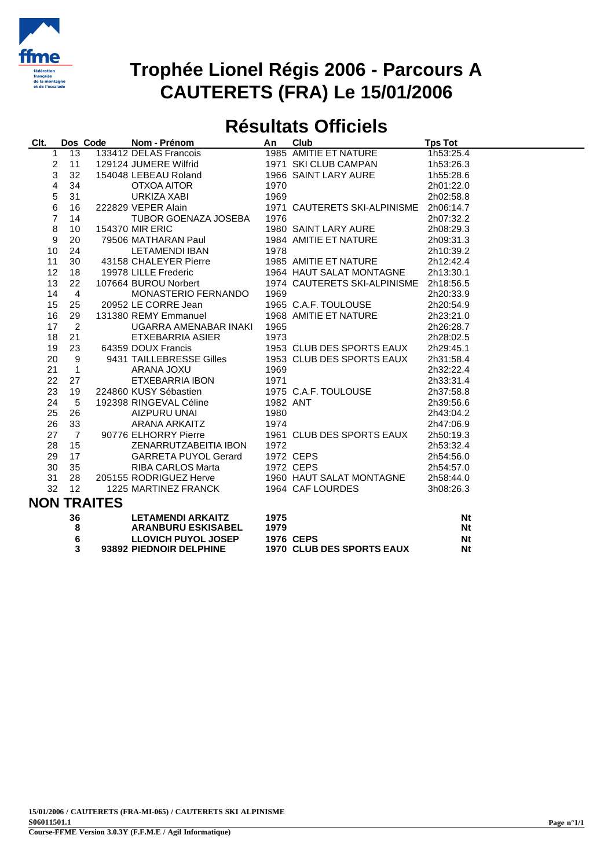

### **Trophée Lionel Régis 2006 - Parcours A CAUTERETS (FRA) Le 15/01/2006**

#### **Résultats Officiels**

| CIt.             |                | Dos Code           | Nom - Prénom                | An       | Club                         | <b>Tps Tot</b> |
|------------------|----------------|--------------------|-----------------------------|----------|------------------------------|----------------|
| 1                | 13             |                    | 133412 DELAS Francois       |          | 1985 AMITIE ET NATURE        | 1h53:25.4      |
| 2                | 11             |                    | 129124 JUMERE Wilfrid       |          | 1971 SKI CLUB CAMPAN         | 1h53:26.3      |
| 3                | 32             |                    | 154048 LEBEAU Roland        |          | 1966 SAINT LARY AURE         | 1h55:28.6      |
| 4                | 34             |                    | OTXOA AITOR                 | 1970     |                              | 2h01:22.0      |
| 5                | 31             |                    | URKIZA XABI                 | 1969     |                              | 2h02:58.8      |
| 6                | 16             |                    | 222829 VEPER Alain          |          | 1971 CAUTERETS SKI-ALPINISME | 2h06:14.7      |
| $\overline{7}$   | 14             |                    | TUBOR GOENAZA JOSEBA        | 1976     |                              | 2h07:32.2      |
| 8                | 10             |                    | <b>154370 MIR ERIC</b>      |          | 1980 SAINT LARY AURE         | 2h08:29.3      |
| $\boldsymbol{9}$ | 20             |                    | 79506 MATHARAN Paul         |          | 1984 AMITIE ET NATURE        | 2h09:31.3      |
| 10               | 24             |                    | <b>LETAMENDI IBAN</b>       | 1978     |                              | 2h10:39.2      |
| 11               | 30             |                    | 43158 CHALEYER Pierre       |          | 1985 AMITIE ET NATURE        | 2h12:42.4      |
| 12               | 18             |                    | 19978 LILLE Frederic        |          | 1964 HAUT SALAT MONTAGNE     | 2h13:30.1      |
| 13               | 22             |                    | 107664 BUROU Norbert        |          | 1974 CAUTERETS SKI-ALPINISME | 2h18:56.5      |
| 14               | $\overline{4}$ |                    | MONASTERIO FERNANDO         | 1969     |                              | 2h20:33.9      |
| 15               | 25             |                    | 20952 LE CORRE Jean         |          | 1965 C.A.F. TOULOUSE         | 2h20:54.9      |
| 16               | 29             |                    | 131380 REMY Emmanuel        |          | 1968 AMITIE ET NATURE        | 2h23:21.0      |
| 17               | 2              |                    | UGARRA AMENABAR INAKI       | 1965     |                              | 2h26:28.7      |
| 18               | 21             |                    | <b>ETXEBARRIA ASIER</b>     | 1973     |                              | 2h28:02.5      |
| 19               | 23             |                    | 64359 DOUX Francis          |          | 1953 CLUB DES SPORTS EAUX    | 2h29:45.1      |
| 20               | 9              |                    | 9431 TAILLEBRESSE Gilles    |          | 1953 CLUB DES SPORTS EAUX    | 2h31:58.4      |
| 21               | $\mathbf{1}$   |                    | ARANA JOXU                  | 1969     |                              | 2h32:22.4      |
| 22               | 27             |                    | ETXEBARRIA IBON             | 1971     |                              | 2h33:31.4      |
| 23               | 19             |                    | 224860 KUSY Sébastien       |          | 1975 C.A.F. TOULOUSE         | 2h37:58.8      |
| 24               | 5              |                    | 192398 RINGEVAL Céline      | 1982 ANT |                              | 2h39:56.6      |
| 25               | 26             |                    | AIZPURU UNAI                | 1980     |                              | 2h43:04.2      |
| 26               | 33             |                    | ARANA ARKAITZ               | 1974     |                              | 2h47:06.9      |
| 27               | $\overline{7}$ |                    | 90776 ELHORRY Pierre        |          | 1961 CLUB DES SPORTS EAUX    | 2h50:19.3      |
| 28               | 15             |                    | ZENARRUTZABEITIA IBON       | 1972     |                              | 2h53:32.4      |
| 29               | 17             |                    | <b>GARRETA PUYOL Gerard</b> |          | 1972 CEPS                    | 2h54:56.0      |
| 30               | 35             |                    | <b>RIBA CARLOS Marta</b>    |          | 1972 CEPS                    | 2h54:57.0      |
| 31               | 28             |                    | 205155 RODRIGUEZ Herve      |          | 1960 HAUT SALAT MONTAGNE     | 2h58:44.0      |
| 32               | 12             |                    | 1225 MARTINEZ FRANCK        |          | 1964 CAF LOURDES             | 3h08:26.3      |
|                  |                | <b>NON TRAITES</b> |                             |          |                              |                |
|                  | 36             |                    | <b>LETAMENDI ARKAITZ</b>    | 1975     |                              | Nt             |
|                  | 8              |                    | <b>ARANBURU ESKISABEL</b>   | 1979     |                              | <b>Nt</b>      |
|                  | c              |                    | <b>LLOVIOU DUVOL JOSED</b>  |          | $A07c$ CEDC                  | KIA.           |

|   | __________________________________ |                                  | --- |
|---|------------------------------------|----------------------------------|-----|
| 8 | <b>ARANBURU ESKISABEL</b>          | 1979                             | Nt  |
|   | LLOVICH PUYOL JOSEP                | <b>1976 CEPS</b>                 | Nt  |
|   | 93892 PIEDNOIR DELPHINE            | <b>1970 CLUB DES SPORTS EAUX</b> | Nt  |
|   |                                    |                                  |     |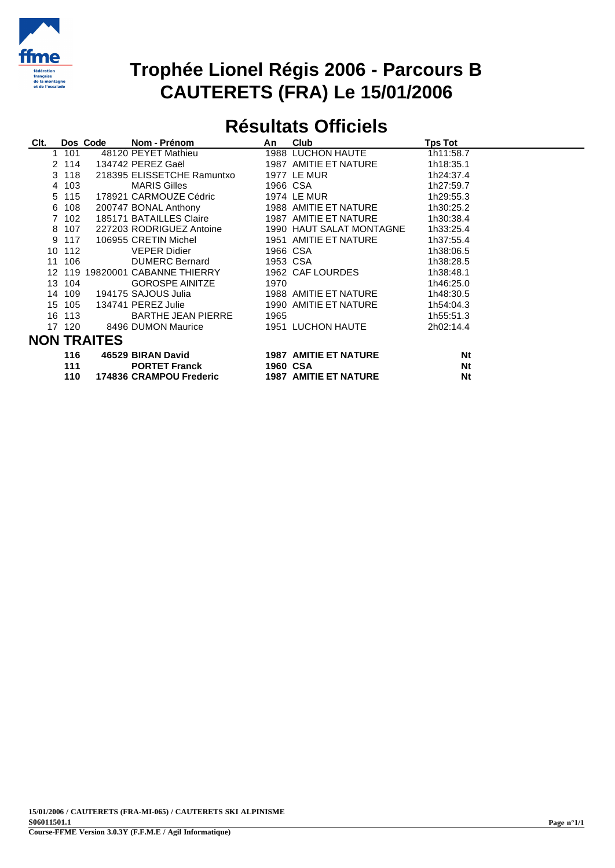

### **Trophée Lionel Régis 2006 - Parcours B CAUTERETS (FRA) Le 15/01/2006**

# **Résultats Officiels**

| Clt.               |        | Dos Code | Nom - Prénom               | An       | <b>Club</b>                  | <b>Tps Tot</b> |  |  |
|--------------------|--------|----------|----------------------------|----------|------------------------------|----------------|--|--|
|                    | 101    |          | 48120 PEYET Mathieu        |          | 1988 LUCHON HAUTE            | 1h11:58.7      |  |  |
|                    | 2 114  |          | 134742 PEREZ Gaël          |          | 1987 AMITIE ET NATURE        | 1h18:35.1      |  |  |
|                    | 3 118  |          | 218395 ELISSETCHE Ramuntxo |          | 1977 LE MUR                  | 1h24:37.4      |  |  |
| $\overline{4}$     | 103    |          | <b>MARIS Gilles</b>        |          | 1966 CSA                     | 1h27:59.7      |  |  |
|                    | 5 115  |          | 178921 CARMOUZE Cédric     |          | 1974 LE MUR                  | 1h29:55.3      |  |  |
|                    | 6 108  |          | 200747 BONAL Anthony       |          | 1988 AMITIE ET NATURE        | 1h30:25.2      |  |  |
|                    | 7 102  |          | 185171 BATAILLES Claire    |          | 1987 AMITIE ET NATURE        | 1h30:38.4      |  |  |
|                    | 8 107  |          | 227203 RODRIGUEZ Antoine   |          | 1990 HAUT SALAT MONTAGNE     | 1h33:25.4      |  |  |
|                    | 9 117  |          | 106955 CRETIN Michel       |          | 1951 AMITIE ET NATURE        | 1h37:55.4      |  |  |
|                    | 10 112 |          | VEPER Didier               |          | 1966 CSA                     | 1h38:06.5      |  |  |
|                    | 11 106 |          | DUMERC Bernard             |          | 1953 CSA 2001                | 1h38:28.5      |  |  |
|                    |        |          |                            |          | 1962 CAF LOURDES             | 1h38:48.1      |  |  |
|                    | 13 104 |          | <b>GOROSPE AINITZE</b>     | 1970     |                              | 1h46:25.0      |  |  |
|                    | 14 109 |          | 194175 SAJOUS Julia        |          | 1988 AMITIE ET NATURE        | 1h48:30.5      |  |  |
|                    | 15 105 |          | 134741 PEREZ Julie         |          | 1990 AMITIE ET NATURE        | 1h54:04.3      |  |  |
|                    | 16 113 |          | <b>BARTHE JEAN PIERRE</b>  | 1965     |                              | 1h55:51.3      |  |  |
|                    | 17 120 |          | 8496 DUMON Maurice         |          | 1951 LUCHON HAUTE            | 2h02:14.4      |  |  |
| <b>NON TRAITES</b> |        |          |                            |          |                              |                |  |  |
|                    | 116    |          | 46529 BIRAN David          |          | <b>1987 AMITIE ET NATURE</b> | Nt             |  |  |
|                    | 111    |          | <b>PORTET Franck</b>       | 1960 CSA |                              | <b>Nt</b>      |  |  |
|                    | 110    |          | 174836 CRAMPOU Frederic    |          | <b>1987 AMITIE ET NATURE</b> | <b>Nt</b>      |  |  |